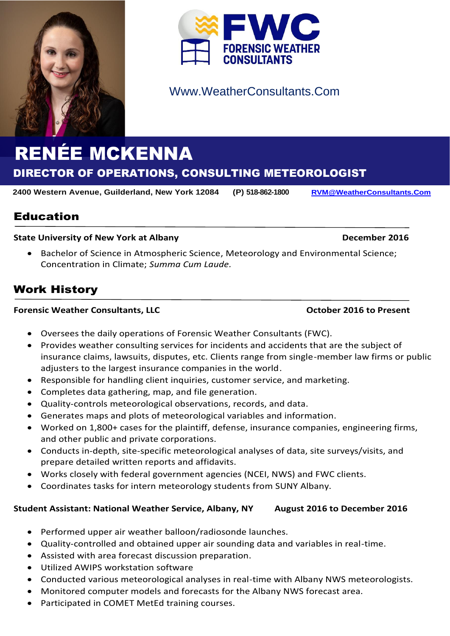



# Www.WeatherConsultants.Com

# RENÉE MCKENNA DIRECTOR OF OPERATIONS, CONSULTING METEOROLOGIST

**2400 Western Avenue, Guilderland, New York 12084 (P) 518-862-1800 [RVM@WeatherConsultants.Com](mailto:RVM@WeatherConsultants.Com)**

# Education

### **State University of New York at Albany December 2016**

• Bachelor of Science in Atmospheric Science, Meteorology and Environmental Science; Concentration in Climate; *Summa Cum Laude.*

# Work History

### **Forensic Weather Consultants, LLC** and **Consultants Consultants Consultants Consultants Consultants Consultants Consultants Consultants Consultants Consultants Consultants Consultants Consultants**

- Oversees the daily operations of Forensic Weather Consultants (FWC).
- Provides weather consulting services for incidents and accidents that are the subject of insurance claims, lawsuits, disputes, etc. Clients range from single-member law firms or public adjusters to the largest insurance companies in the world.
- Responsible for handling client inquiries, customer service, and marketing.
- Completes data gathering, map, and file generation.
- Quality-controls meteorological observations, records, and data.
- Generates maps and plots of meteorological variables and information.
- Worked on 1,800+ cases for the plaintiff, defense, insurance companies, engineering firms, and other public and private corporations.
- Conducts in-depth, site-specific meteorological analyses of data, site surveys/visits, and prepare detailed written reports and affidavits.
- Works closely with federal government agencies (NCEI, NWS) and FWC clients.
- Coordinates tasks for intern meteorology students from SUNY Albany.

### **Student Assistant: National Weather Service, Albany, NY August 2016 to December 2016**

- Performed upper air weather balloon/radiosonde launches.
- Quality-controlled and obtained upper air sounding data and variables in real-time.
- Assisted with area forecast discussion preparation.
- Utilized AWIPS workstation software
- Conducted various meteorological analyses in real-time with Albany NWS meteorologists.
- Monitored computer models and forecasts for the Albany NWS forecast area.
- Participated in COMET MetEd training courses.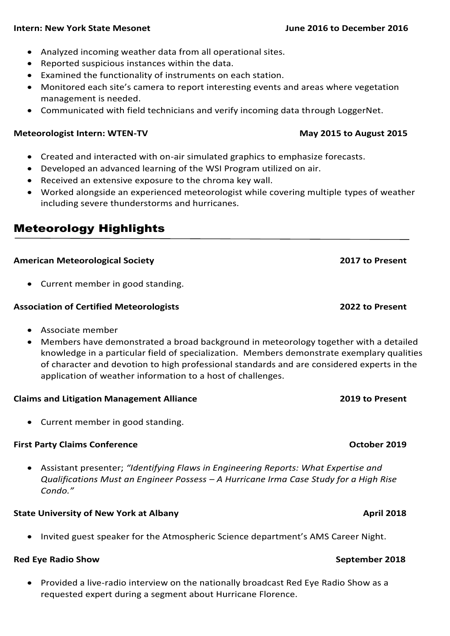- Analyzed incoming weather data from all operational sites.
- Reported suspicious instances within the data.
- Examined the functionality of instruments on each station.
- Monitored each site's camera to report interesting events and areas where vegetation management is needed.
- Communicated with field technicians and verify incoming data through LoggerNet.

### **Meteorologist Intern: WTEN-TV May 2015 to August 2015**

- Created and interacted with on-air simulated graphics to emphasize forecasts.
- Developed an advanced learning of the WSI Program utilized on air.
- Received an extensive exposure to the chroma key wall.
- Worked alongside an experienced meteorologist while covering multiple types of weather including severe thunderstorms and hurricanes.

# Meteorology Highlights

### **American Meteorological Society 2017 to Present**

• Current member in good standing.

### **Association of Certified Meteorologists 2022 to Present**

- Associate member
- Members have demonstrated a broad background in meteorology together with a detailed knowledge in a particular field of specialization. Members demonstrate exemplary qualities of character and devotion to high professional standards and are considered experts in the application of weather information to a host of challenges.

### **Claims and Litigation Management Alliance 2019 to Present**

• Current member in good standing.

### **First Party Claims Conference Contents of Contents and Contents of Contents of Contents of Contents of Contents of Contents of Contents of Contents of Contents of Contents of Contents of Contents of Contents of Contents o**

• Assistant presenter; *"Identifying Flaws in Engineering Reports: What Expertise and Qualifications Must an Engineer Possess – A Hurricane Irma Case Study for a High Rise Condo."*

### **State University of New York at Albany April 2018** April 2018

• Invited guest speaker for the Atmospheric Science department's AMS Career Night.

### **Red Eye Radio Show September 2018**

• Provided a live-radio interview on the nationally broadcast Red Eye Radio Show as a requested expert during a segment about Hurricane Florence.